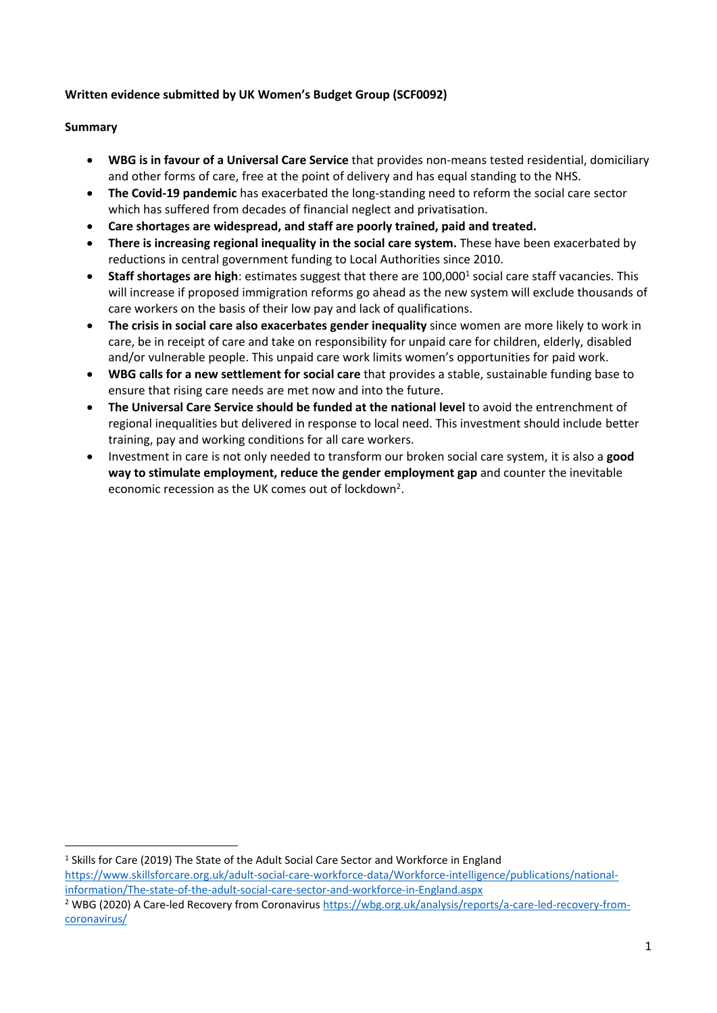# **Written evidence submitted by UK Women's Budget Group (SCF0092)**

#### **Summary**

- **WBG is in favour of a Universal Care Service** that provides non-means tested residential, domiciliary and other forms of care, free at the point of delivery and has equal standing to the NHS.
- **The Covid-19 pandemic** has exacerbated the long-standing need to reform the social care sector which has suffered from decades of financial neglect and privatisation.
- **Care shortages are widespread, and staff are poorly trained, paid and treated.**
- **There is increasing regional inequality in the social care system.** These have been exacerbated by reductions in central government funding to Local Authorities since 2010.
- **Staff shortages are high**: estimates suggest that there are 100,000<sup>1</sup> social care staff vacancies. This will increase if proposed immigration reforms go ahead as the new system will exclude thousands of care workers on the basis of their low pay and lack of qualifications.
- **The crisis in social care also exacerbates gender inequality** since women are more likely to work in care, be in receipt of care and take on responsibility for unpaid care for children, elderly, disabled and/or vulnerable people. This unpaid care work limits women's opportunities for paid work.
- **WBG calls for a new settlement for social care** that provides a stable, sustainable funding base to ensure that rising care needs are met now and into the future.
- **The Universal Care Service should be funded at the national level** to avoid the entrenchment of regional inequalities but delivered in response to local need. This investment should include better training, pay and working conditions for all care workers.
- Investment in care is not only needed to transform our broken social care system, it is also a **good way to stimulate employment, reduce the gender employment gap** and counter the inevitable economic recession as the UK comes out of lockdown<sup>2</sup>.

<sup>1</sup> Skills for Care (2019) The State of the Adult Social Care Sector and Workforce in England [https://www.skillsforcare.org.uk/adult-social-care-workforce-data/Workforce-intelligence/publications/national](https://www.skillsforcare.org.uk/adult-social-care-workforce-data/Workforce-intelligence/publications/national-information/The-state-of-the-adult-social-care-sector-and-workforce-in-England.aspx)[information/The-state-of-the-adult-social-care-sector-and-workforce-in-England.aspx](https://www.skillsforcare.org.uk/adult-social-care-workforce-data/Workforce-intelligence/publications/national-information/The-state-of-the-adult-social-care-sector-and-workforce-in-England.aspx)

<sup>2</sup> WBG (2020) A Care-led Recovery from Coronavirus [https://wbg.org.uk/analysis/reports/a-care-led-recovery-from](https://wbg.org.uk/analysis/reports/a-care-led-recovery-from-coronavirus/)[coronavirus/](https://wbg.org.uk/analysis/reports/a-care-led-recovery-from-coronavirus/)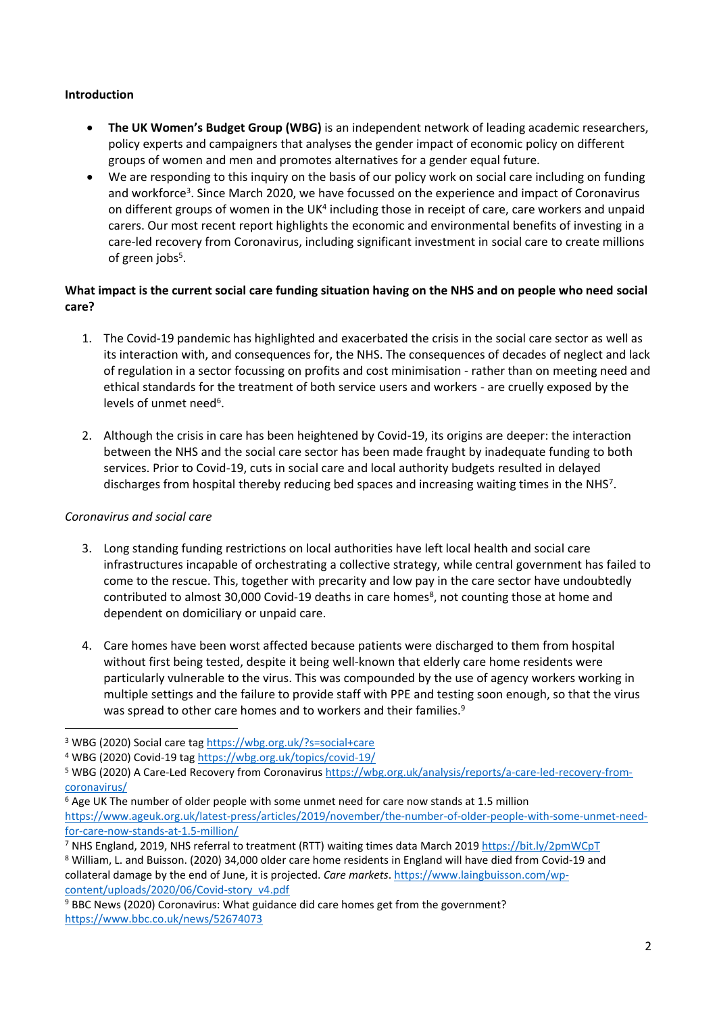#### **Introduction**

- **The UK Women's Budget Group (WBG)** is an independent network of leading academic researchers, policy experts and campaigners that analyses the gender impact of economic policy on different groups of women and men and promotes alternatives for a gender equal future.
- We are responding to this inquiry on the basis of our policy work on social care including on funding and workforce<sup>3</sup>. Since March 2020, we have focussed on the experience and impact of Coronavirus on different groups of women in the UK<sup>4</sup> including those in receipt of care, care workers and unpaid carers. Our most recent report highlights the economic and environmental benefits of investing in a care-led recovery from Coronavirus, including significant investment in social care to create millions of green jobs<sup>5</sup>.

# What impact is the current social care funding situation having on the NHS and on people who need social **care?**

- 1. The Covid-19 pandemic has highlighted and exacerbated the crisis in the social care sector as well as its interaction with, and consequences for, the NHS. The consequences of decades of neglect and lack of regulation in a sector focussing on profits and cost minimisation - rather than on meeting need and ethical standards for the treatment of both service users and workers - are cruelly exposed by the levels of unmet need<sup>6</sup>.
- 2. Although the crisis in care has been heightened by Covid-19, its origins are deeper: the interaction between the NHS and the social care sector has been made fraught by inadequate funding to both services. Prior to Covid-19, cuts in social care and local authority budgets resulted in delayed discharges from hospital thereby reducing bed spaces and increasing waiting times in the NHS<sup>7</sup>.

# *Coronavirus and social care*

- 3. Long standing funding restrictions on local authorities have left local health and social care infrastructures incapable of orchestrating a collective strategy, while central government has failed to come to the rescue. This, together with precarity and low pay in the care sector have undoubtedly contributed to almost 30,000 Covid-19 deaths in care homes<sup>8</sup>, not counting those at home and dependent on domiciliary or unpaid care.
- 4. Care homes have been worst affected because patients were discharged to them from hospital without first being tested, despite it being well-known that elderly care home residents were particularly vulnerable to the virus. This was compounded by the use of agency workers working in multiple settings and the failure to provide staff with PPE and testing soon enough, so that the virus was spread to other care homes and to workers and their families.<sup>9</sup>

[content/uploads/2020/06/Covid-story\\_v4.pdf](https://www.laingbuisson.com/wp-content/uploads/2020/06/Covid-story_v4.pdf)

<sup>3</sup> WBG (2020) Social care tag <https://wbg.org.uk/?s=social+care>

<sup>4</sup> WBG (2020) Covid-19 tag <https://wbg.org.uk/topics/covid-19/>

<sup>5</sup> WBG (2020) A Care-Led Recovery from Coronavirus [https://wbg.org.uk/analysis/reports/a-care-led-recovery-from](https://wbg.org.uk/analysis/reports/a-care-led-recovery-from-coronavirus/)[coronavirus/](https://wbg.org.uk/analysis/reports/a-care-led-recovery-from-coronavirus/)

<sup>6</sup> Age UK The number of older people with some unmet need for care now stands at 1.5 million [https://www.ageuk.org.uk/latest-press/articles/2019/november/the-number-of-older-people-with-some-unmet-need](https://www.ageuk.org.uk/latest-press/articles/2019/november/the-number-of-older-people-with-some-unmet-need-for-care-now-stands-at-1.5-million/)[for-care-now-stands-at-1.5-million/](https://www.ageuk.org.uk/latest-press/articles/2019/november/the-number-of-older-people-with-some-unmet-need-for-care-now-stands-at-1.5-million/)

<sup>7</sup> NHS England, 2019, NHS referral to treatment (RTT) waiting times data March 2019 <https://bit.ly/2pmWCpT>

<sup>8</sup> William, L. and Buisson. (2020) 34,000 older care home residents in England will have died from Covid-19 and collateral damage by the end of June, it is projected. *Care markets*. [https://www.laingbuisson.com/wp-](https://www.laingbuisson.com/wp-content/uploads/2020/06/Covid-story_v4.pdf)

<sup>9</sup> BBC News (2020) Coronavirus: What guidance did care homes get from the government? <https://www.bbc.co.uk/news/52674073>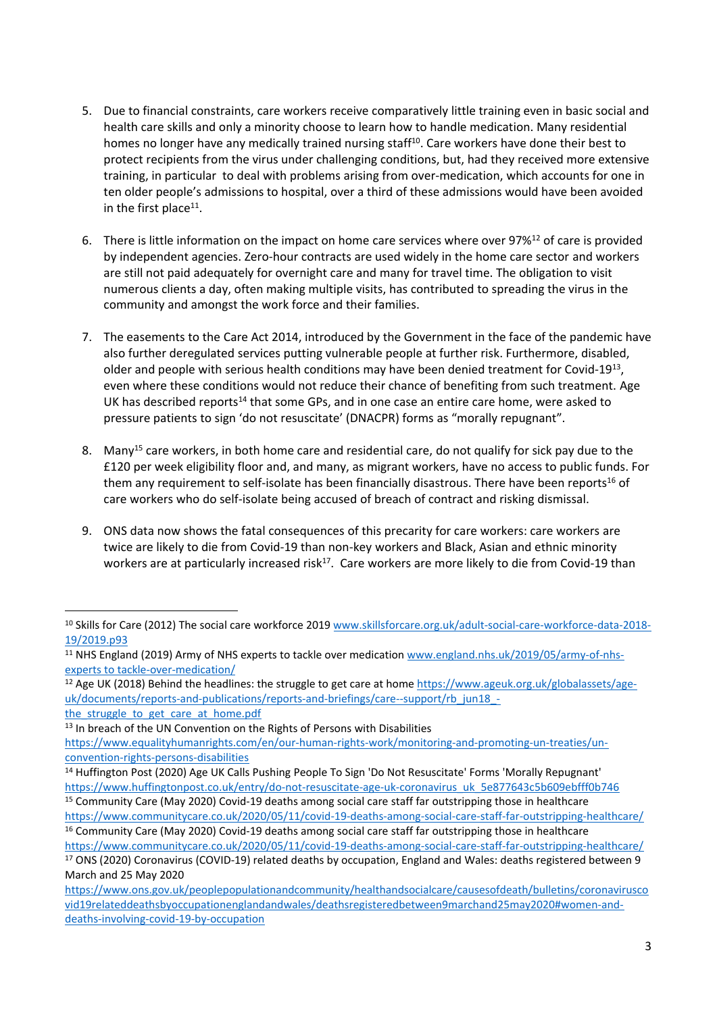- 5. Due to financial constraints, care workers receive comparatively little training even in basic social and health care skills and only a minority choose to learn how to handle medication. Many residential homes no longer have any medically trained nursing staff<sup>10</sup>. Care workers have done their best to protect recipients from the virus under challenging conditions, but, had they received more extensive training, in particular to deal with problems arising from over-medication, which accounts for one in ten older people's admissions to hospital, over a third of these admissions would have been avoided in the first place<sup>11</sup>.
- 6. There is little information on the impact on home care services where over 97%<sup>12</sup> of care is provided by independent agencies. Zero-hour contracts are used widely in the home care sector and workers are still not paid adequately for overnight care and many for travel time. The obligation to visit numerous clients a day, often making multiple visits, has contributed to spreading the virus in the community and amongst the work force and their families.
- 7. The easements to the Care Act 2014, introduced by the Government in the face of the pandemic have also further deregulated services putting vulnerable people at further risk. Furthermore, disabled, older and people with serious health conditions may have been denied treatment for Covid-19<sup>13</sup>, even where these conditions would not reduce their chance of benefiting from such treatment. Age UK has described reports<sup>14</sup> that some GPs, and in one case an entire care home, were asked to pressure patients to sign 'do not resuscitate' (DNACPR) forms as "morally repugnant".
- 8. Many<sup>15</sup> care workers, in both home care and residential care, do not qualify for sick pay due to the £120 per week eligibility floor and, and many, as migrant workers, have no access to public funds. For them any requirement to self-isolate has been financially disastrous. There have been reports<sup>16</sup> of care workers who do self-isolate being accused of breach of contract and risking dismissal.
- 9. ONS data now shows the fatal consequences of this precarity for care workers: care workers are twice are likely to die from Covid-19 than non-key workers and Black, Asian and ethnic minority workers are at particularly increased risk<sup>17</sup>. Care workers are more likely to die from Covid-19 than

<sup>&</sup>lt;sup>10</sup> Skills for Care (2012) The social care workforce 2019 [www.skillsforcare.org.uk/adult-social-care-workforce-data-2018-](http://www.skillsforcare.org.uk/adult-social-care-workforce-data-2018-19/2019.p93) [19/2019.p93](http://www.skillsforcare.org.uk/adult-social-care-workforce-data-2018-19/2019.p93)

<sup>11</sup> NHS England (2019) Army of NHS experts to tackle over medication [www.england.nhs.uk/2019/05/army-of-nhs](http://www.england.nhs.uk/2019/05/army-of-nhs-experts%20to%20tackle-over-medication/)[experts](http://www.england.nhs.uk/2019/05/army-of-nhs-experts%20to%20tackle-over-medication/) [to](http://www.england.nhs.uk/2019/05/army-of-nhs-experts%20to%20tackle-over-medication/) [tackle-over-medication/](http://www.england.nhs.uk/2019/05/army-of-nhs-experts%20to%20tackle-over-medication/)

<sup>&</sup>lt;sup>12</sup> Age UK (2018) Behind the headlines: the struggle to get care at home [https://www.ageuk.org.uk/globalassets/age](https://www.ageuk.org.uk/globalassets/age-uk/documents/reports-and-publications/reports-and-briefings/care--support/rb_jun18_-the_struggle_to_get_care_at_home.pdf)[uk/documents/reports-and-publications/reports-and-briefings/care--support/rb\\_jun18\\_](https://www.ageuk.org.uk/globalassets/age-uk/documents/reports-and-publications/reports-and-briefings/care--support/rb_jun18_-the_struggle_to_get_care_at_home.pdf) the struggle to get care at home.pdf

<sup>&</sup>lt;sup>13</sup> In breach of the UN Convention on the Rights of Persons with Disabilities

[https://www.equalityhumanrights.com/en/our-human-rights-work/monitoring-and-promoting-un-treaties/un](https://www.equalityhumanrights.com/en/our-human-rights-work/monitoring-and-promoting-un-treaties/un-convention-rights-persons-disabilities)[convention-rights-persons-disabilities](https://www.equalityhumanrights.com/en/our-human-rights-work/monitoring-and-promoting-un-treaties/un-convention-rights-persons-disabilities)

<sup>14</sup> Huffington Post (2020) Age UK Calls Pushing People To Sign 'Do Not Resuscitate' Forms 'Morally Repugnant' [https://www.huffingtonpost.co.uk/entry/do-not-resuscitate-age-uk-coronavirus\\_uk\\_5e877643c5b609ebfff0b746](https://www.huffingtonpost.co.uk/entry/do-not-resuscitate-age-uk-coronavirus_uk_5e877643c5b609ebfff0b746)

<sup>&</sup>lt;sup>15</sup> Community Care (May 2020) Covid-19 deaths among social care staff far outstripping those in healthcare <https://www.communitycare.co.uk/2020/05/11/covid-19-deaths-among-social-care-staff-far-outstripping-healthcare/>

<sup>&</sup>lt;sup>16</sup> Community Care (May 2020) Covid-19 deaths among social care staff far outstripping those in healthcare <https://www.communitycare.co.uk/2020/05/11/covid-19-deaths-among-social-care-staff-far-outstripping-healthcare/>

<sup>17</sup> ONS (2020) Coronavirus (COVID-19) related deaths by occupation, England and Wales: deaths registered between 9 March and 25 May 2020

[https://www.ons.gov.uk/peoplepopulationandcommunity/healthandsocialcare/causesofdeath/bulletins/coronavirusco](https://www.ons.gov.uk/peoplepopulationandcommunity/healthandsocialcare/causesofdeath/bulletins/coronaviruscovid19relateddeathsbyoccupationenglandandwales/deathsregisteredbetween9marchand25may2020#women-and-deaths-involving-covid-19-by-occupation) [vid19relateddeathsbyoccupationenglandandwales/deathsregisteredbetween9marchand25may2020#women-and](https://www.ons.gov.uk/peoplepopulationandcommunity/healthandsocialcare/causesofdeath/bulletins/coronaviruscovid19relateddeathsbyoccupationenglandandwales/deathsregisteredbetween9marchand25may2020#women-and-deaths-involving-covid-19-by-occupation)[deaths-involving-covid-19-by-occupation](https://www.ons.gov.uk/peoplepopulationandcommunity/healthandsocialcare/causesofdeath/bulletins/coronaviruscovid19relateddeathsbyoccupationenglandandwales/deathsregisteredbetween9marchand25may2020#women-and-deaths-involving-covid-19-by-occupation)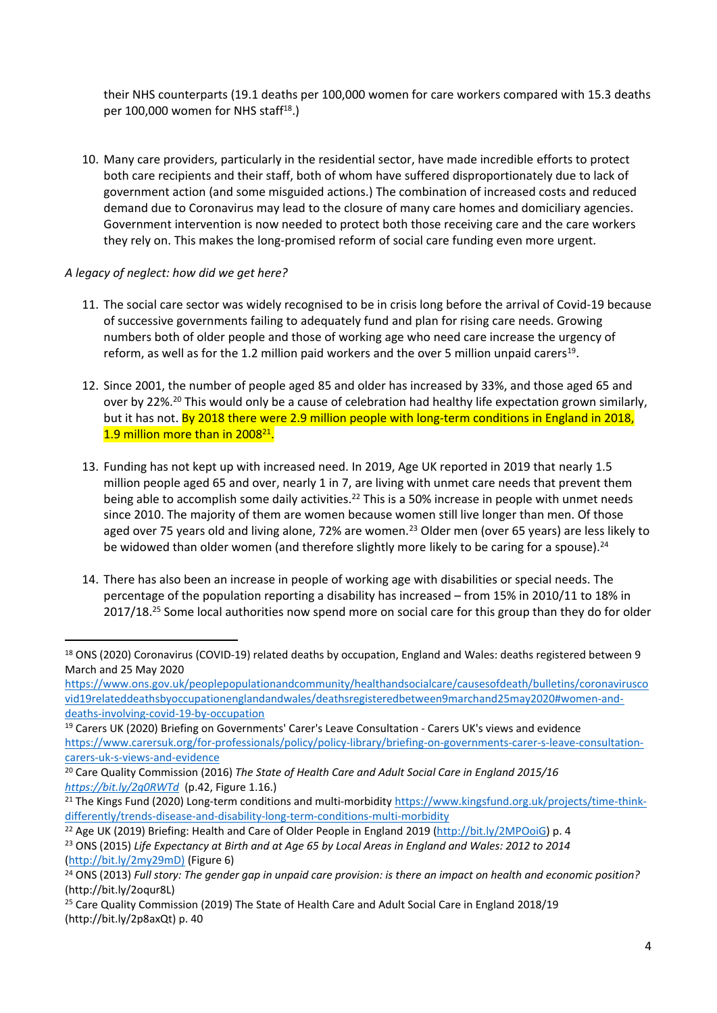their NHS counterparts (19.1 deaths per 100,000 women for care workers compared with 15.3 deaths per 100,000 women for NHS staff<sup>18</sup>.)

10. Many care providers, particularly in the residential sector, have made incredible efforts to protect both care recipients and their staff, both of whom have suffered disproportionately due to lack of government action (and some misguided actions.) The combination of increased costs and reduced demand due to Coronavirus may lead to the closure of many care homes and domiciliary agencies. Government intervention is now needed to protect both those receiving care and the care workers they rely on. This makes the long-promised reform of social care funding even more urgent.

# *A legacy of neglect: how did we get here?*

- 11. The social care sector was widely recognised to be in crisis long before the arrival of Covid-19 because of successive governments failing to adequately fund and plan for rising care needs. Growing numbers both of older people and those of working age who need care increase the urgency of reform, as well as for the 1.2 million paid workers and the over 5 million unpaid carers<sup>19</sup>.
- 12. Since 2001, the number of people aged 85 and older has increased by 33%, and those aged 65 and over by 22%.<sup>20</sup> This would only be a cause of celebration had healthy life expectation grown similarly, but it has not. By 2018 there were 2.9 million people with long-term conditions in England in 2018, 1.9 million more than in 2008<sup>21</sup>.
- 13. Funding has not kept up with increased need. In 2019, Age UK reported in 2019 that nearly 1.5 million people aged 65 and over, nearly 1 in 7, are living with unmet care needs that prevent them being able to accomplish some daily activities.<sup>22</sup> This is a 50% increase in people with unmet needs since 2010. The majority of them are women because women still live longer than men. Of those aged over 75 years old and living alone, 72% are women.<sup>23</sup> Older men (over 65 years) are less likely to be widowed than older women (and therefore slightly more likely to be caring for a spouse).<sup>24</sup>
- 14. There has also been an increase in people of working age with disabilities or special needs. The percentage of the population reporting a disability has increased – from 15% in 2010/11 to 18% in 2017/18.<sup>25</sup> Some local authorities now spend more on social care for this group than they do for older

<sup>22</sup> Age UK (2019) Briefing: Health and Care of Older People in England 2019 ([http://bit.ly/2MPOoiG\)](http://bit.ly/2MPOoiG) p. 4 <sup>23</sup> ONS (2015) Life Expectancy at Birth and at Age 65 by Local Areas in England and Wales: 2012 to 2014 [\(http://bit.ly/2my29mD\)](http://bit.ly/2my29mD)) (Figure 6)

<sup>18</sup> ONS (2020) Coronavirus (COVID-19) related deaths by occupation, England and Wales: deaths registered between 9 March and 25 May 2020

[https://www.ons.gov.uk/peoplepopulationandcommunity/healthandsocialcare/causesofdeath/bulletins/coronavirusco](https://www.ons.gov.uk/peoplepopulationandcommunity/healthandsocialcare/causesofdeath/bulletins/coronaviruscovid19relateddeathsbyoccupationenglandandwales/deathsregisteredbetween9marchand25may2020#women-and-deaths-involving-covid-19-by-occupation) [vid19relateddeathsbyoccupationenglandandwales/deathsregisteredbetween9marchand25may2020#women-and](https://www.ons.gov.uk/peoplepopulationandcommunity/healthandsocialcare/causesofdeath/bulletins/coronaviruscovid19relateddeathsbyoccupationenglandandwales/deathsregisteredbetween9marchand25may2020#women-and-deaths-involving-covid-19-by-occupation)[deaths-involving-covid-19-by-occupation](https://www.ons.gov.uk/peoplepopulationandcommunity/healthandsocialcare/causesofdeath/bulletins/coronaviruscovid19relateddeathsbyoccupationenglandandwales/deathsregisteredbetween9marchand25may2020#women-and-deaths-involving-covid-19-by-occupation)

<sup>19</sup> Carers UK (2020) Briefing on Governments' Carer's Leave Consultation - Carers UK's views and evidence [https://www.carersuk.org/for-professionals/policy/policy-library/briefing-on-governments-carer-s-leave-consultation](https://www.carersuk.org/for-professionals/policy/policy-library/briefing-on-governments-carer-s-leave-consultation-carers-uk-s-views-and-evidence)[carers-uk-s-views-and-evidence](https://www.carersuk.org/for-professionals/policy/policy-library/briefing-on-governments-carer-s-leave-consultation-carers-uk-s-views-and-evidence)

<sup>20</sup> Care Quality Commission (2016) *The State of Health Care and Adult Social Care in England 2015/16 <https://bit.ly/2q0RWTd>* (p.42, Figure 1.16.)

<sup>&</sup>lt;sup>21</sup> The Kings Fund (2020) Long-term conditions and multi-morbidity [https://www.kingsfund.org.uk/projects/time-think](https://www.kingsfund.org.uk/projects/time-think-differently/trends-disease-and-disability-long-term-conditions-multi-morbidity)[differently/trends-disease-and-disability-long-term-conditions-multi-morbidity](https://www.kingsfund.org.uk/projects/time-think-differently/trends-disease-and-disability-long-term-conditions-multi-morbidity)

<sup>&</sup>lt;sup>24</sup> ONS (2013) Full story: The gender gap in unpaid care provision: is there an impact on health and economic position? (http://bit.ly/2oqur8L)

<sup>&</sup>lt;sup>25</sup> Care Quality Commission (2019) The State of Health Care and Adult Social Care in England 2018/19 (http://bit.ly/2p8axQt) p. 40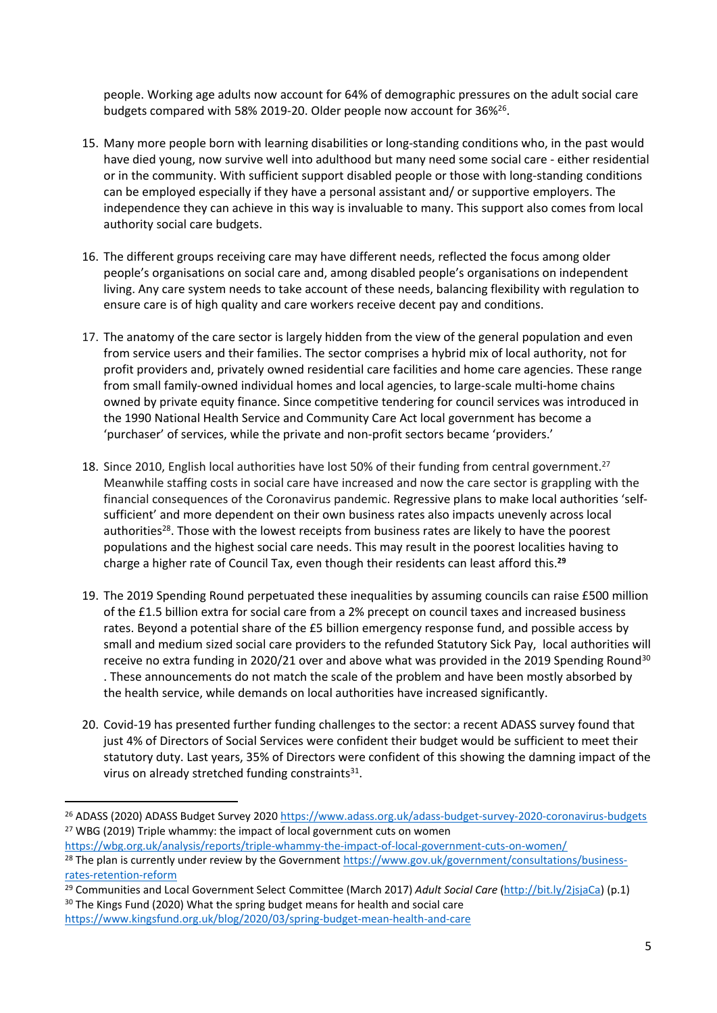people. Working age adults now account for 64% of demographic pressures on the adult social care budgets compared with 58% 2019-20. Older people now account for 36%<sup>26</sup>.

- 15. Many more people born with learning disabilities or long-standing conditions who, in the past would have died young, now survive well into adulthood but many need some social care - either residential or in the community. With sufficient support disabled people or those with long-standing conditions can be employed especially if they have a personal assistant and/ or supportive employers. The independence they can achieve in this way is invaluable to many. This support also comes from local authority social care budgets.
- 16. The different groups receiving care may have different needs, reflected the focus among older people's organisations on social care and, among disabled people's organisations on independent living. Any care system needs to take account of these needs, balancing flexibility with regulation to ensure care is of high quality and care workers receive decent pay and conditions.
- 17. The anatomy of the care sector is largely hidden from the view of the general population and even from service users and their families. The sector comprises a hybrid mix of local authority, not for profit providers and, privately owned residential care facilities and home care agencies. These range from small family-owned individual homes and local agencies, to large-scale multi-home chains owned by private equity finance. Since competitive tendering for council services was introduced in the 1990 National Health Service and Community Care Act local government has become a 'purchaser' of services, while the private and non-profit sectors became 'providers.'
- 18. Since 2010, English local authorities have lost 50% of their funding from central government.<sup>27</sup> Meanwhile staffing costs in social care have increased and now the care sector is grappling with the financial consequences of the Coronavirus pandemic. Regressive plans to make local authorities 'selfsufficient' and more dependent on their own business rates also impacts unevenly across local authorities<sup>28</sup>. Those with the lowest receipts from business rates are likely to have the poorest populations and the highest social care needs. This may result in the poorest localities having to charge a higher rate of Council Tax, even though their residents can least afford this.**<sup>29</sup>**
- 19. The 2019 Spending Round perpetuated these inequalities by assuming councils can raise £500 million of the £1.5 billion extra for social care from a 2% precept on council taxes and increased business rates. Beyond a potential share of the £5 billion emergency response fund, and possible access by small and medium sized social care providers to the refunded Statutory Sick Pay, local authorities will receive no extra funding in 2020/21 over and above what was provided in the 2019 Spending Round<sup>30</sup> . These announcements do not match the scale of the problem and have been mostly absorbed by the health service, while demands on local authorities have increased significantly.
- 20. Covid-19 has presented further funding challenges to the sector: a recent ADASS survey found that just 4% of Directors of Social Services were confident their budget would be sufficient to meet their statutory duty. Last years, 35% of Directors were confident of this showing the damning impact of the virus on already stretched funding constraints<sup>31</sup>.

<https://wbg.org.uk/analysis/reports/triple-whammy-the-impact-of-local-government-cuts-on-women/>

<sup>30</sup> The Kings Fund (2020) What the spring budget means for health and social care <https://www.kingsfund.org.uk/blog/2020/03/spring-budget-mean-health-and-care>

<sup>26</sup> ADASS (2020) ADASS Budget Survey 2020 <https://www.adass.org.uk/adass-budget-survey-2020-coronavirus-budgets> <sup>27</sup> WBG (2019) Triple whammy: the impact of local government cuts on women

<sup>&</sup>lt;sup>28</sup> The plan is currently under review by the Government [https://www.gov.uk/government/consultations/business](https://www.gov.uk/government/consultations/business-rates-retention-reform)[rates-retention-reform](https://www.gov.uk/government/consultations/business-rates-retention-reform)

<sup>29</sup> Communities and Local Government Select Committee (March 2017) *Adult Social Care* ([http://bit.ly/2jsjaCa\)](http://bit.ly/2jsjaCa) (p.1)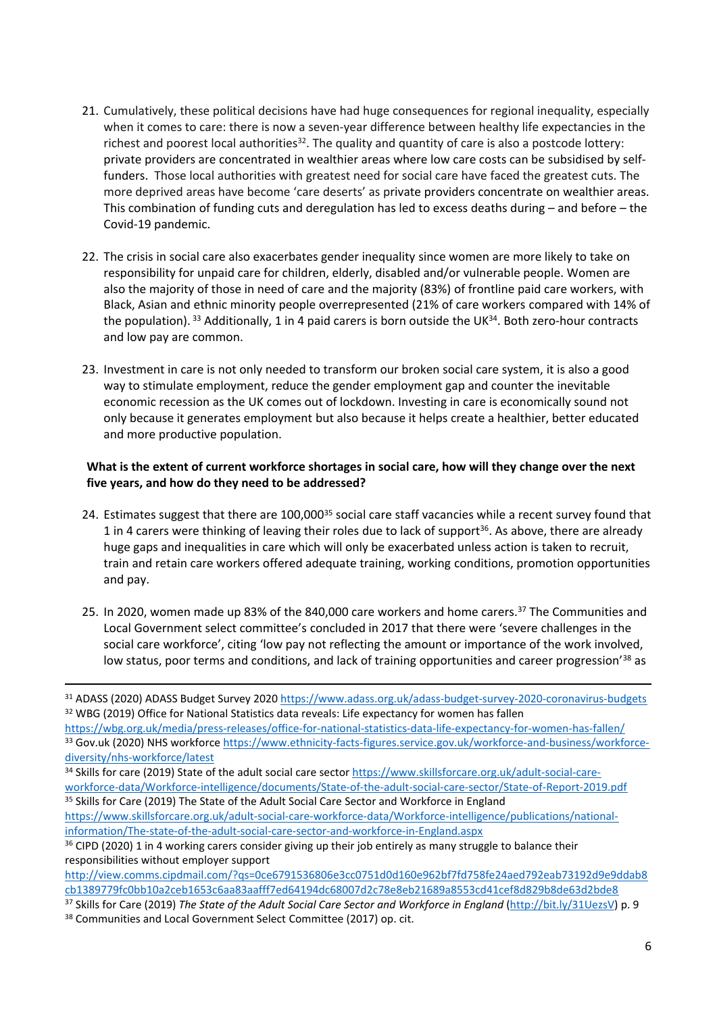- 21. Cumulatively, these political decisions have had huge consequences for regional inequality, especially when it comes to care: there is now a seven-year difference between healthy life expectancies in the richest and poorest local authorities<sup>32</sup>. The quality and quantity of care is also a postcode lottery: private providers are concentrated in wealthier areas where low care costs can be subsidised by selffunders. Those local authorities with greatest need for social care have faced the greatest cuts. The more deprived areas have become 'care deserts' as private providers concentrate on wealthier areas. This combination of funding cuts and deregulation has led to excess deaths during – and before – the Covid-19 pandemic.
- 22. The crisis in social care also exacerbates gender inequality since women are more likely to take on responsibility for unpaid care for children, elderly, disabled and/or vulnerable people. Women are also the majority of those in need of care and the majority (83%) of frontline paid care workers, with Black, Asian and ethnic minority people overrepresented (21% of care workers compared with 14% of the population). <sup>33</sup> Additionally, 1 in 4 paid carers is born outside the UK<sup>34</sup>. Both zero-hour contracts and low pay are common.
- 23. Investment in care is not only needed to transform our broken social care system, it is also a good way to stimulate employment, reduce the gender employment gap and counter the inevitable economic recession as the UK comes out of lockdown. Investing in care is economically sound not only because it generates employment but also because it helps create a healthier, better educated and more productive population.

# What is the extent of current workforce shortages in social care, how will they change over the next **five years, and how do they need to be addressed?**

- 24. Estimates suggest that there are 100,000<sup>35</sup> social care staff vacancies while a recent survey found that 1 in 4 carers were thinking of leaving their roles due to lack of support<sup>36</sup>. As above, there are already huge gaps and inequalities in care which will only be exacerbated unless action is taken to recruit, train and retain care workers offered adequate training, working conditions, promotion opportunities and pay.
- 25. In 2020, women made up 83% of the 840,000 care workers and home carers.<sup>37</sup> The Communities and Local Government select committee's concluded in 2017 that there were 'severe challenges in the social care workforce', citing 'low pay not reflecting the amount or importance of the work involved, low status, poor terms and conditions, and lack of training opportunities and career progression<sup>'38</sup> as

- <sup>34</sup> Skills for care (2019) State of the adult social care sector [https://www.skillsforcare.org.uk/adult-social-care](https://www.skillsforcare.org.uk/adult-social-care-workforce-data/Workforce-intelligence/documents/State-of-the-adult-social-care-sector/State-of-Report-2019.pdf)[workforce-data/Workforce-intelligence/documents/State-of-the-adult-social-care-sector/State-of-Report-2019.pdf](https://www.skillsforcare.org.uk/adult-social-care-workforce-data/Workforce-intelligence/documents/State-of-the-adult-social-care-sector/State-of-Report-2019.pdf) <sup>35</sup> Skills for Care (2019) The State of the Adult Social Care Sector and Workforce in England
- [https://www.skillsforcare.org.uk/adult-social-care-workforce-data/Workforce-intelligence/publications/national](https://www.skillsforcare.org.uk/adult-social-care-workforce-data/Workforce-intelligence/publications/national-information/The-state-of-the-adult-social-care-sector-and-workforce-in-England.aspx)[information/The-state-of-the-adult-social-care-sector-and-workforce-in-England.aspx](https://www.skillsforcare.org.uk/adult-social-care-workforce-data/Workforce-intelligence/publications/national-information/The-state-of-the-adult-social-care-sector-and-workforce-in-England.aspx)

<sup>31</sup> ADASS (2020) ADASS Budget Survey 2020 <https://www.adass.org.uk/adass-budget-survey-2020-coronavirus-budgets> <sup>32</sup> WBG (2019) Office for National Statistics data reveals: Life expectancy for women has fallen

<https://wbg.org.uk/media/press-releases/office-for-national-statistics-data-life-expectancy-for-women-has-fallen/> 33 Gov.uk (2020) NHS workforce [https://www.ethnicity-facts-figures.service.gov.uk/workforce-and-business/workforce](https://www.ethnicity-facts-figures.service.gov.uk/workforce-and-business/workforce-diversity/nhs-workforce/latest)[diversity/nhs-workforce/latest](https://www.ethnicity-facts-figures.service.gov.uk/workforce-and-business/workforce-diversity/nhs-workforce/latest)

<sup>&</sup>lt;sup>36</sup> CIPD (2020) 1 in 4 working carers consider giving up their job entirely as many struggle to balance their responsibilities without employer support

[http://view.comms.cipdmail.com/?qs=0ce6791536806e3cc0751d0d160e962bf7fd758fe24aed792eab73192d9e9ddab8](http://view.comms.cipdmail.com/?qs=0ce6791536806e3cc0751d0d160e962bf7fd758fe24aed792eab73192d9e9ddab8cb1389779fc0bb10a2ceb1653c6aa83aafff7ed64194dc68007d2c78e8eb21689a8553cd41cef8d829b8de63d2bde8) [cb1389779fc0bb10a2ceb1653c6aa83aafff7ed64194dc68007d2c78e8eb21689a8553cd41cef8d829b8de63d2bde8](http://view.comms.cipdmail.com/?qs=0ce6791536806e3cc0751d0d160e962bf7fd758fe24aed792eab73192d9e9ddab8cb1389779fc0bb10a2ceb1653c6aa83aafff7ed64194dc68007d2c78e8eb21689a8553cd41cef8d829b8de63d2bde8)

<sup>37</sup> Skills for Care (2019) *The State of the Adult Social Care Sector and Workforce in England* (<http://bit.ly/31UezsV>) p. 9

<sup>38</sup> Communities and Local Government Select Committee (2017) op. cit.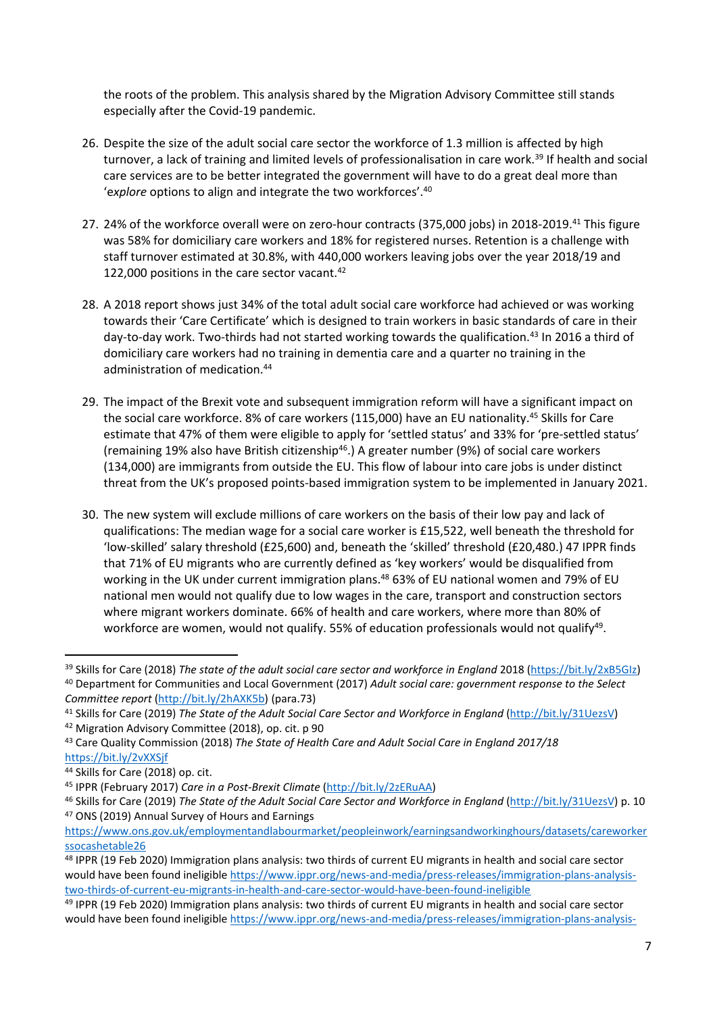the roots of the problem. This analysis shared by the Migration Advisory Committee still stands especially after the Covid-19 pandemic.

- 26. Despite the size of the adult social care sector the workforce of 1.3 million is affected by high turnover, a lack of training and limited levels of professionalisation in care work.<sup>39</sup> If health and social care services are to be better integrated the government will have to do a great deal more than 'e*xplore* options to align and integrate the two workforces'.<sup>40</sup>
- 27. 24% of the workforce overall were on zero-hour contracts (375,000 jobs) in 2018-2019.<sup>41</sup> This figure was 58% for domiciliary care workers and 18% for registered nurses. Retention is a challenge with staff turnover estimated at 30.8%, with 440,000 workers leaving jobs over the year 2018/19 and 122,000 positions in the care sector vacant.<sup>42</sup>
- 28. A 2018 report shows just 34% of the total adult social care workforce had achieved or was working towards their 'Care Certificate' which is designed to train workers in basic standards of care in their day-to-day work. Two-thirds had not started working towards the qualification.<sup>43</sup> In 2016 a third of domiciliary care workers had no training in dementia care and a quarter no training in the administration of medication.<sup>44</sup>
- 29. The impact of the Brexit vote and subsequent immigration reform will have a significant impact on the social care workforce. 8% of care workers (115,000) have an EU nationality.<sup>45</sup> Skills for Care estimate that 47% of them were eligible to apply for 'settled status' and 33% for 'pre-settled status' (remaining 19% also have British citizenship<sup>46</sup>.) A greater number (9%) of social care workers (134,000) are immigrants from outside the EU. This flow of labour into care jobs is under distinct threat from the UK's proposed points-based immigration system to be implemented in January 2021.
- 30. The new system will exclude millions of care workers on the basis of their low pay and lack of qualifications: The median wage for a social care worker is £15,522, well beneath the threshold for 'low-skilled' salary threshold (£25,600) and, beneath the 'skilled' threshold (£20,480.) 47 IPPR finds that 71% of EU migrants who are currently defined as 'key workers' would be disqualified from working in the UK under current immigration plans.<sup>48</sup> 63% of EU national women and 79% of EU national men would not qualify due to low wages in the care, transport and construction sectors where migrant workers dominate. 66% of health and care workers, where more than 80% of workforce are women, would not qualify. 55% of education professionals would not qualify<sup>49</sup>.

<sup>39</sup> Skills for Care (2018) *The state of the adult social care sector and workforce in England* 2018 (https://bit.ly/2xB5GIz) <sup>40</sup> Department for Communities and Local Government (2017) *Adult social care: government response to the Select Committee report* ([http://bit.ly/2hAXK5b\)](http://bit.ly/2hAXK5b) (para.73)

<sup>41</sup> Skills for Care (2019) *The State of the Adult Social Care Sector and Workforce in England* (<http://bit.ly/31UezsV>) <sup>42</sup> Migration Advisory Committee (2018), op. cit. p 90

<sup>43</sup> Care Quality Commission (2018) *The State of Health Care and Adult Social Care in England 2017/18* https://bit.ly/2vXXSjf

<sup>44</sup> Skills for Care (2018) op. cit.

<sup>45</sup> IPPR (February 2017) *Care in a Post-Brexit Climate* [\(http://bit.ly/2zERuAA](http://bit.ly/2zERuAA))

<sup>46</sup> Skills for Care (2019) *The State of the Adult Social Care Sector and Workforce in England* (<http://bit.ly/31UezsV>) p. 10 <sup>47</sup> ONS (2019) Annual Survey of Hours and Earnings

[https://www.ons.gov.uk/employmentandlabourmarket/peopleinwork/earningsandworkinghours/datasets/careworker](https://www.ons.gov.uk/employmentandlabourmarket/peopleinwork/earningsandworkinghours/datasets/careworkerssocashetable26) [ssocashetable26](https://www.ons.gov.uk/employmentandlabourmarket/peopleinwork/earningsandworkinghours/datasets/careworkerssocashetable26)

<sup>48</sup> IPPR (19 Feb 2020) Immigration plans analysis: two thirds of current EU migrants in health and social care sector would have been found ineligible [https://www.ippr.org/news-and-media/press-releases/immigration-plans-analysis](https://www.ippr.org/news-and-media/press-releases/immigration-plans-analysis-two-thirds-of-current-eu-migrants-in-health-and-care-sector-would-have-been-found-ineligible)[two-thirds-of-current-eu-migrants-in-health-and-care-sector-would-have-been-found-ineligible](https://www.ippr.org/news-and-media/press-releases/immigration-plans-analysis-two-thirds-of-current-eu-migrants-in-health-and-care-sector-would-have-been-found-ineligible)

<sup>49</sup> IPPR (19 Feb 2020) Immigration plans analysis: two thirds of current EU migrants in health and social care sector would have been found ineligible [https://www.ippr.org/news-and-media/press-releases/immigration-plans-analysis-](https://www.ippr.org/news-and-media/press-releases/immigration-plans-analysis-two-thirds-of-current-eu-migrants-in-health-and-care-sector-would-have-been-found-ineligible)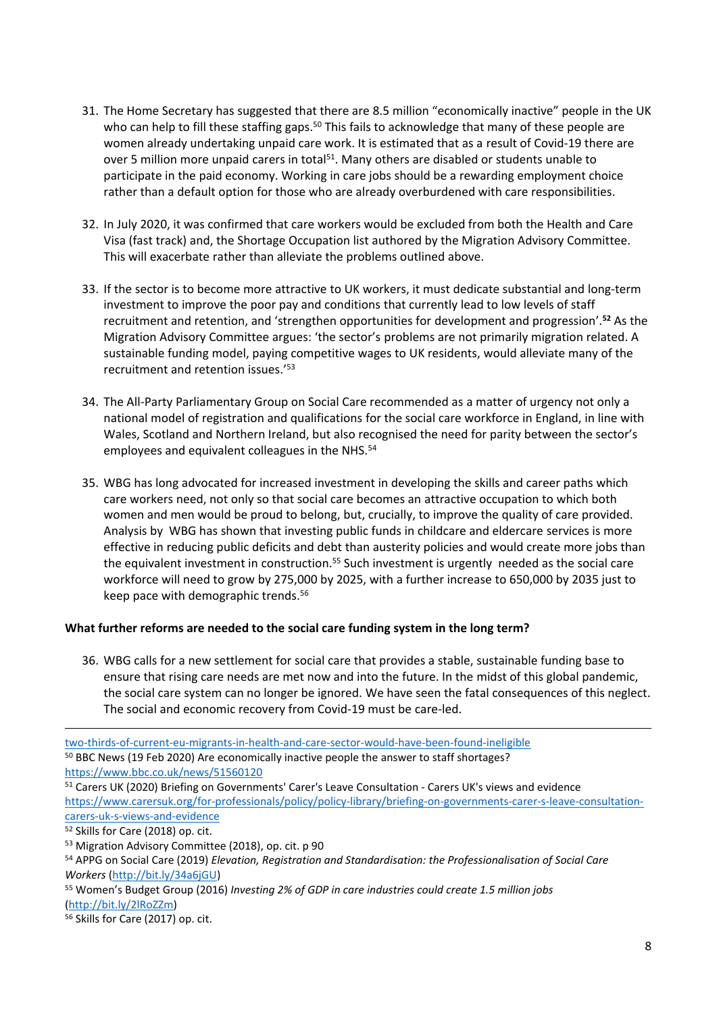- 31. The Home Secretary has suggested that there are 8.5 million "economically inactive" people in the UK who can help to fill these staffing gaps.<sup>50</sup> This fails to acknowledge that many of these people are women already undertaking unpaid care work. It is estimated that as a result of Covid-19 there are over 5 million more unpaid carers in total<sup>51</sup>. Many others are disabled or students unable to participate in the paid economy. Working in care jobs should be a rewarding employment choice rather than a default option for those who are already overburdened with care responsibilities.
- 32. In July 2020, it was confirmed that care workers would be excluded from both the Health and Care Visa (fast track) and, the Shortage Occupation list authored by the Migration Advisory Committee. This will exacerbate rather than alleviate the problems outlined above.
- 33. If the sector is to become more attractive to UK workers, it must dedicate substantial and long-term investment to improve the poor pay and conditions that currently lead to low levels of staff recruitment and retention, and 'strengthen opportunities for development and progression'.**<sup>52</sup>** As the Migration Advisory Committee argues: 'the sector's problems are not primarily migration related. A sustainable funding model, paying competitive wages to UK residents, would alleviate many of the recruitment and retention issues.'<sup>53</sup>
- 34. The All-Party Parliamentary Group on Social Care recommended as a matter of urgency not only a national model of registration and qualifications for the social care workforce in England, in line with Wales, Scotland and Northern Ireland, but also recognised the need for parity between the sector's employees and equivalent colleagues in the NHS.<sup>54</sup>
- 35. WBG has long advocated for increased investment in developing the skills and career paths which care workers need, not only so that social care becomes an attractive occupation to which both women and men would be proud to belong, but, crucially, to improve the quality of care provided. Analysis by WBG has shown that investing public funds in childcare and eldercare services is more effective in reducing public deficits and debt than austerity policies and would create more jobs than the equivalent investment in construction.<sup>55</sup> Such investment is urgently needed as the social care workforce will need to grow by 275,000 by 2025, with a further increase to 650,000 by 2035 just to keep pace with demographic trends.<sup>56</sup>

# **What further reforms are needed to the social care funding system in the long term?**

36. WBG calls for a new settlement for social care that provides a stable, sustainable funding base to ensure that rising care needs are met now and into the future. In the midst of this global pandemic, the social care system can no longer be ignored. We have seen the fatal consequences of this neglect. The social and economic recovery from Covid-19 must be care-led.

[two-thirds-of-current-eu-migrants-in-health-and-care-sector-would-have-been-found-ineligible](https://www.ippr.org/news-and-media/press-releases/immigration-plans-analysis-two-thirds-of-current-eu-migrants-in-health-and-care-sector-would-have-been-found-ineligible) <sup>50</sup> BBC News (19 Feb 2020) Are economically inactive people the answer to staff shortages? <https://www.bbc.co.uk/news/51560120>

<sup>51</sup> Carers UK (2020) Briefing on Governments' Carer's Leave Consultation - Carers UK's views and evidence [https://www.carersuk.org/for-professionals/policy/policy-library/briefing-on-governments-carer-s-leave-consultation](https://www.carersuk.org/for-professionals/policy/policy-library/briefing-on-governments-carer-s-leave-consultation-carers-uk-s-views-and-evidence)[carers-uk-s-views-and-evidence](https://www.carersuk.org/for-professionals/policy/policy-library/briefing-on-governments-carer-s-leave-consultation-carers-uk-s-views-and-evidence)

<sup>52</sup> Skills for Care (2018) op. cit.

<sup>53</sup> Migration Advisory Committee (2018), op. cit. p 90

<sup>54</sup> APPG on Social Care (2019) *Elevation, Registration and Standardisation: the Professionalisation of Social Care Workers* [\(http://bit.ly/34a6jGU](http://bit.ly/34a6jGU))

<sup>55</sup> Women's Budget Group (2016) *Investing 2% of GDP in care industries could create 1.5 million jobs* [\(http://bit.ly/2lRoZZm](http://bit.ly/2lRoZZm))

<sup>56</sup> Skills for Care (2017) op. cit.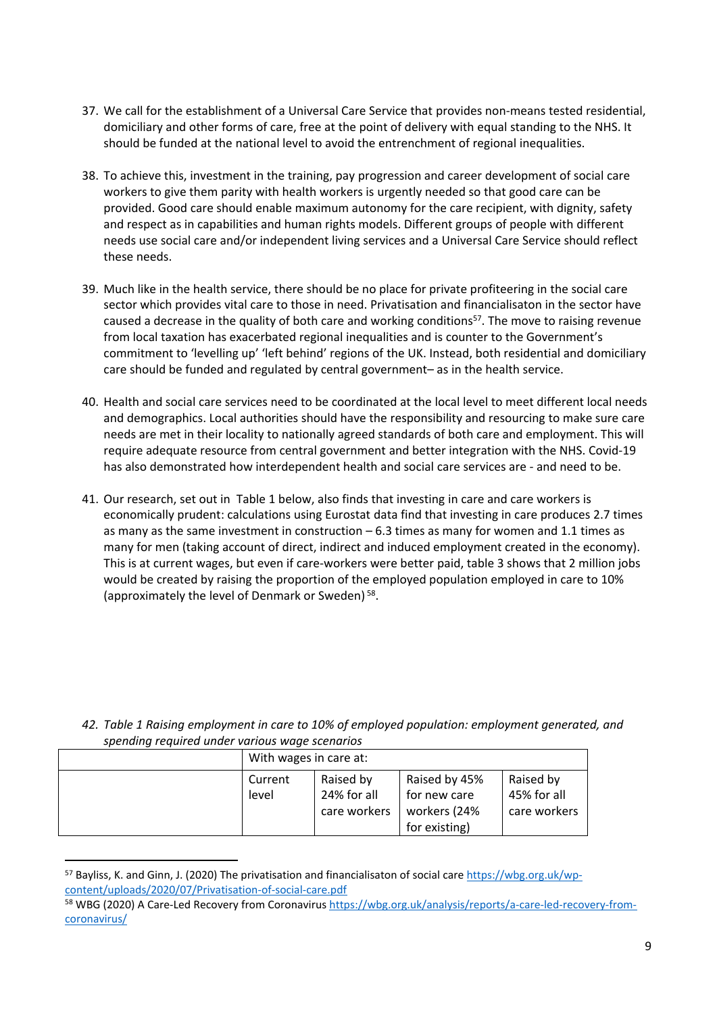- 37. We call for the establishment of a Universal Care Service that provides non-means tested residential, domiciliary and other forms of care, free at the point of delivery with equal standing to the NHS. It should be funded at the national level to avoid the entrenchment of regional inequalities.
- 38. To achieve this, investment in the training, pay progression and career development of social care workers to give them parity with health workers is urgently needed so that good care can be provided. Good care should enable maximum autonomy for the care recipient, with dignity, safety and respect as in capabilities and human rights models. Different groups of people with different needs use social care and/or independent living services and a Universal Care Service should reflect these needs.
- 39. Much like in the health service, there should be no place for private profiteering in the social care sector which provides vital care to those in need. Privatisation and financialisaton in the sector have caused a decrease in the quality of both care and working conditions<sup>57</sup>. The move to raising revenue from local taxation has exacerbated regional inequalities and is counter to the Government's commitment to 'levelling up' 'left behind' regions of the UK. Instead, both residential and domiciliary care should be funded and regulated by central government– as in the health service.
- 40. Health and social care services need to be coordinated at the local level to meet different local needs and demographics. Local authorities should have the responsibility and resourcing to make sure care needs are met in their locality to nationally agreed standards of both care and employment. This will require adequate resource from central government and better integration with the NHS. Covid-19 has also demonstrated how interdependent health and social care services are - and need to be.
- 41. Our research, set out in Table 1 below, also finds that investing in care and care workers is economically prudent: calculations using Eurostat data find that investing in care produces 2.7 times as many as the same investment in construction  $-6.3$  times as many for women and 1.1 times as many for men (taking account of direct, indirect and induced employment created in the economy). This is at current wages, but even if care-workers were better paid, table 3 shows that 2 million jobs would be created by raising the proportion of the employed population employed in care to 10% (approximately the level of Denmark or Sweden)<sup>58</sup>.

*42. Table 1 Raising employment in care to 10% of employed population: employment generated, and spending required under various wage scenarios*

| With wages in care at: |                                          |                                                                |                                          |  |
|------------------------|------------------------------------------|----------------------------------------------------------------|------------------------------------------|--|
| Current<br>level       | Raised by<br>24% for all<br>care workers | Raised by 45%<br>for new care<br>workers (24%<br>for existing) | Raised by<br>45% for all<br>care workers |  |

<sup>57</sup> Bayliss, K. and Ginn, J. (2020) The privatisation and financialisaton of social care [https://wbg.org.uk/wp](https://wbg.org.uk/wp-content/uploads/2020/07/Privatisation-of-social-care.pdf)[content/uploads/2020/07/Privatisation-of-social-care.pdf](https://wbg.org.uk/wp-content/uploads/2020/07/Privatisation-of-social-care.pdf)

<sup>58</sup> WBG (2020) A Care-Led Recovery from Coronavirus [https://wbg.org.uk/analysis/reports/a-care-led-recovery-from](https://wbg.org.uk/analysis/reports/a-care-led-recovery-from-coronavirus/)[coronavirus/](https://wbg.org.uk/analysis/reports/a-care-led-recovery-from-coronavirus/)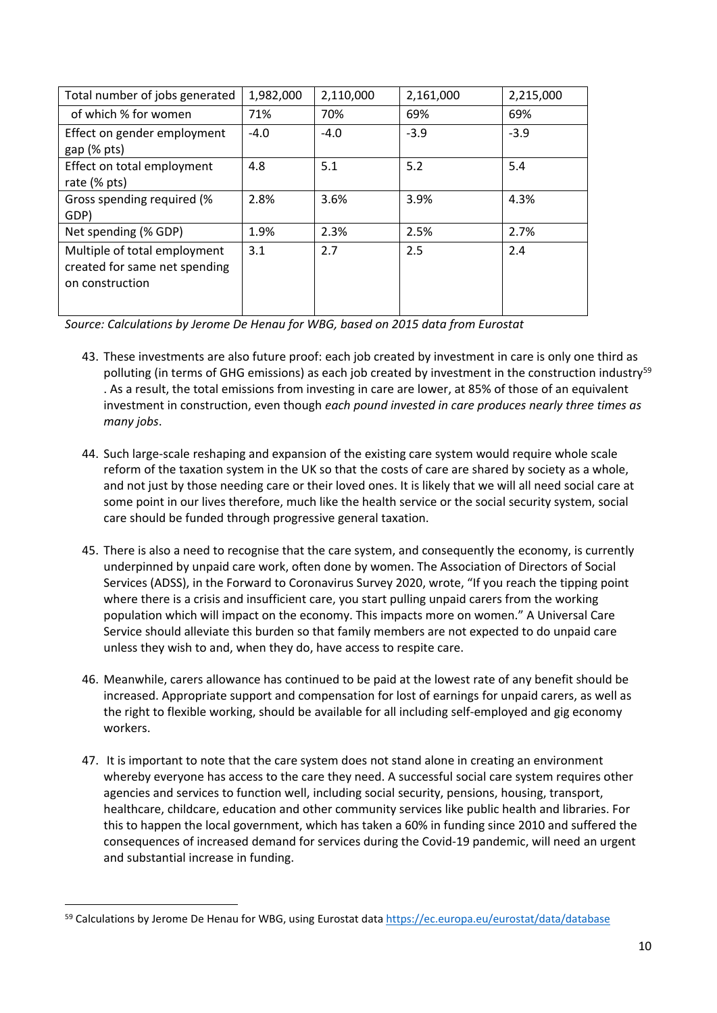| Total number of jobs generated                                                   | 1,982,000 | 2,110,000 | 2,161,000 | 2,215,000 |
|----------------------------------------------------------------------------------|-----------|-----------|-----------|-----------|
| of which % for women                                                             | 71%       | 70%       | 69%       | 69%       |
| Effect on gender employment<br>$gap$ (% $pts$ )                                  | $-4.0$    | $-4.0$    | $-3.9$    | $-3.9$    |
| Effect on total employment<br>rate (% pts)                                       | 4.8       | 5.1       | 5.2       | 5.4       |
| Gross spending required (%<br>GDP)                                               | 2.8%      | 3.6%      | 3.9%      | 4.3%      |
| Net spending (% GDP)                                                             | 1.9%      | 2.3%      | 2.5%      | 2.7%      |
| Multiple of total employment<br>created for same net spending<br>on construction | 3.1       | 2.7       | 2.5       | 2.4       |

*Source: Calculations by Jerome De Henau for WBG, based on 2015 data from Eurostat*

- 43. These investments are also future proof: each job created by investment in care is only one third as polluting (in terms of GHG emissions) as each job created by investment in the construction industry<sup>59</sup> . As a result, the total emissions from investing in care are lower, at 85% of those of an equivalent investment in construction, even though *each pound invested in care produces nearly three times as many jobs*.
- 44. Such large-scale reshaping and expansion of the existing care system would require whole scale reform of the taxation system in the UK so that the costs of care are shared by society as a whole, and not just by those needing care or their loved ones. It is likely that we will all need social care at some point in our lives therefore, much like the health service or the social security system, social care should be funded through progressive general taxation.
- 45. There is also a need to recognise that the care system, and consequently the economy, is currently underpinned by unpaid care work, often done by women. The Association of Directors of Social Services (ADSS), in the Forward to Coronavirus Survey 2020, wrote, "If you reach the tipping point where there is a crisis and insufficient care, you start pulling unpaid carers from the working population which will impact on the economy. This impacts more on women." A Universal Care Service should alleviate this burden so that family members are not expected to do unpaid care unless they wish to and, when they do, have access to respite care.
- 46. Meanwhile, carers allowance has continued to be paid at the lowest rate of any benefit should be increased. Appropriate support and compensation for lost of earnings for unpaid carers, as well as the right to flexible working, should be available for all including self-employed and gig economy workers.
- 47. It is important to note that the care system does not stand alone in creating an environment whereby everyone has access to the care they need. A successful social care system requires other agencies and services to function well, including social security, pensions, housing, transport, healthcare, childcare, education and other community services like public health and libraries. For this to happen the local government, which has taken a 60% in funding since 2010 and suffered the consequences of increased demand for services during the Covid-19 pandemic, will need an urgent and substantial increase in funding.

<sup>59</sup> Calculations by Jerome De Henau for WBG, using Eurostat data <https://ec.europa.eu/eurostat/data/database>